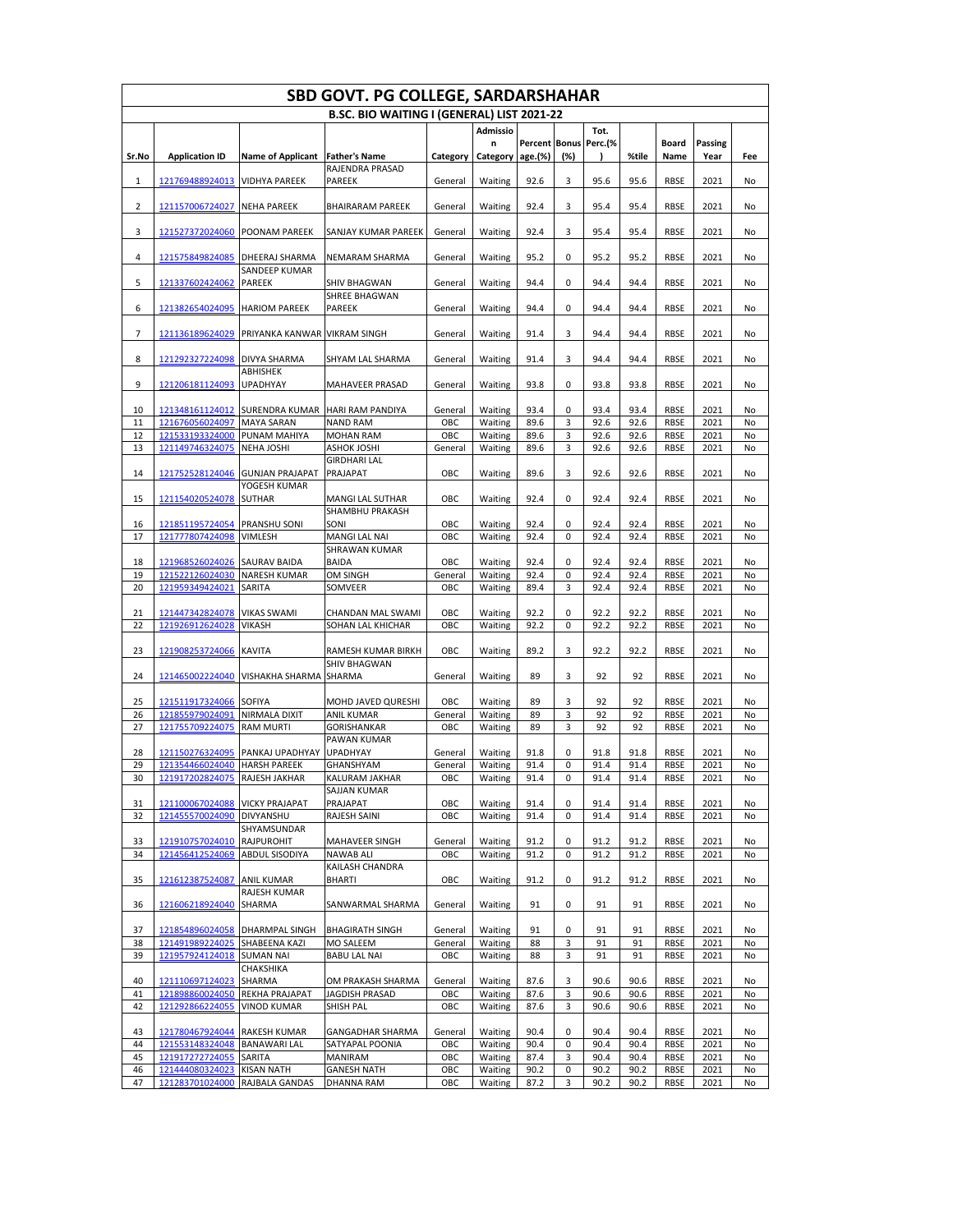| SBD GOVT. PG COLLEGE, SARDARSHAHAR |                                    |                                   |                                            |                |                    |                      |        |              |              |                            |              |          |
|------------------------------------|------------------------------------|-----------------------------------|--------------------------------------------|----------------|--------------------|----------------------|--------|--------------|--------------|----------------------------|--------------|----------|
|                                    |                                    |                                   | B.SC. BIO WAITING I (GENERAL) LIST 2021-22 |                |                    |                      |        |              |              |                            |              |          |
|                                    |                                    |                                   |                                            |                | <b>Admissio</b>    |                      |        | Tot.         |              |                            |              |          |
|                                    |                                    |                                   |                                            |                | n                  | <b>Percent Bonus</b> |        | Perc.(%      |              | Board                      | Passing      |          |
| Sr.No                              | <b>Application ID</b>              | <b>Name of Applicant</b>          | <b>Father's Name</b><br>RAJENDRA PRASAD    | Category       | Category           | age.(%)              | (%)    |              | %tile        | Name                       | Year         | Fee      |
| 1                                  | 121769488924013                    | <b>VIDHYA PAREEK</b>              | <b>PAREEK</b>                              | General        | Waiting            | 92.6                 | 3      | 95.6         | 95.6         | <b>RBSE</b>                | 2021         | No       |
| 2                                  | 121157006724027                    | <b>NEHA PAREEK</b>                | <b>BHAIRARAM PAREEK</b>                    | General        | Waiting            | 92.4                 | 3      | 95.4         | 95.4         | <b>RBSE</b>                | 2021         | No       |
|                                    |                                    |                                   |                                            |                |                    |                      |        |              |              |                            |              |          |
| 3                                  | 121527372024060                    | POONAM PAREEK                     | SANJAY KUMAR PAREEK                        | General        | Waiting            | 92.4                 | 3      | 95.4         | 95.4         | <b>RBSE</b>                | 2021         | No       |
| 4                                  | 121575849824085                    | DHEERAJ SHARMA<br>SANDEEP KUMAR   | NEMARAM SHARMA                             | General        | Waiting            | 95.2                 | 0      | 95.2         | 95.2         | <b>RBSE</b>                | 2021         | No       |
| 5                                  | 121337602424062                    | <b>PAREEK</b>                     | SHIV BHAGWAN                               | General        | Waiting            | 94.4                 | 0      | 94.4         | 94.4         | <b>RBSE</b>                | 2021         | No       |
| 6                                  | 121382654024095                    | <b>HARIOM PAREEK</b>              | SHREE BHAGWAN<br>PAREEK                    | General        | Waiting            | 94.4                 | 0      | 94.4         | 94.4         | <b>RBSE</b>                | 2021         | No       |
| 7                                  | 121136189624029                    | PRIYANKA KANWAR VIKRAM SINGH      |                                            | General        | Waiting            | 91.4                 | 3      | 94.4         | 94.4         | <b>RBSE</b>                | 2021         | No       |
| 8                                  | 121292327224098                    | <b>DIVYA SHARMA</b>               | SHYAM LAL SHARMA                           | General        | Waiting            | 91.4                 | 3      | 94.4         | 94.4         | <b>RBSE</b>                | 2021         | No       |
|                                    |                                    | <b>ABHISHEK</b>                   |                                            |                |                    |                      |        |              |              |                            |              |          |
| 9                                  | 121206181124093                    | <b>UPADHYAY</b>                   | MAHAVEER PRASAD                            | General        | Waiting            | 93.8                 | 0      | 93.8         | 93.8         | <b>RBSE</b>                | 2021         | No       |
| 10                                 | 121348161124012                    | SURENDRA KUMAR HARI RAM PANDIYA   |                                            | General        | Waiting            | 93.4                 | 0      | 93.4         | 93.4         | <b>RBSE</b>                | 2021         | No       |
| 11                                 | 121676056024097 MAYA SARAN         |                                   | <b>NAND RAM</b>                            | OBC            | Waiting            | 89.6                 | 3      | 92.6         | 92.6         | <b>RBSE</b>                | 2021         | No       |
| 12                                 | 121533193324000                    | <b>PUNAM MAHIYA</b>               | <b>MOHAN RAM</b>                           | OBC            | Waiting            | 89.6                 | 3      | 92.6         | 92.6         | <b>RBSE</b>                | 2021         | No       |
| 13                                 | 121149746324075                    | <b>NEHA JOSHI</b>                 | ASHOK JOSHI                                | General        | Waiting            | 89.6                 | 3      | 92.6         | 92.6         | <b>RBSE</b>                | 2021         | No       |
|                                    |                                    |                                   | <b>GIRDHARI LAL</b>                        |                |                    |                      |        |              |              |                            |              |          |
| 14                                 | 121752528124046                    | <b>GUNJAN PRAJAPAT</b>            | PRAJAPAT                                   | OBC            | Waiting            | 89.6                 | 3      | 92.6         | 92.6         | <b>RBSE</b>                | 2021         | No       |
|                                    |                                    | YOGESH KUMAR                      |                                            |                |                    |                      |        |              |              |                            |              |          |
| 15                                 | 121154020524078                    | <b>SUTHAR</b>                     | MANGI LAL SUTHAR<br><b>SHAMBHU PRAKASH</b> | OBC            | Waiting            | 92.4                 | 0      | 92.4         | 92.4         | <b>RBSE</b>                | 2021         | No       |
| 16                                 | 121851195724054                    | <b>PRANSHU SONI</b>               | SONI                                       | OBC            | Waiting            | 92.4                 | 0      | 92.4         | 92.4         | <b>RBSE</b>                | 2021         | No       |
| 17                                 | 121777807424098                    | <b>VIMLESH</b>                    | MANGI LAL NAI                              | OBC            | Waiting            | 92.4                 | 0      | 92.4         | 92.4         | <b>RBSE</b>                | 2021         | No       |
|                                    |                                    |                                   | SHRAWAN KUMAR                              |                |                    |                      |        |              |              |                            |              |          |
| 18                                 | 121968526024026                    | <b>SAURAV BAIDA</b>               | <b>BAIDA</b>                               | OBC            | Waiting            | 92.4                 | 0      | 92.4         | 92.4         | <b>RBSE</b>                | 2021         | No       |
| 19                                 | 121522126024030                    | <b>NARESH KUMAR</b>               | OM SINGH                                   | General        | Waiting            | 92.4                 | 0      | 92.4         | 92.4         | <b>RBSE</b>                | 2021         | No       |
| 20                                 | 121959349424021                    | SARITA                            | SOMVEER                                    | OBC            | Waiting            | 89.4                 | 3      | 92.4         | 92.4         | <b>RBSE</b>                | 2021         | No       |
|                                    |                                    |                                   |                                            |                |                    |                      |        |              |              |                            |              |          |
| 21                                 | 121447342824078                    | <b>VIKAS SWAMI</b>                | CHANDAN MAL SWAMI                          | OBC            | Waiting            | 92.2                 | 0      | 92.2         | 92.2         | <b>RBSE</b>                | 2021         | No       |
| 22                                 | 121926912624028                    | <b>VIKASH</b>                     | SOHAN LAL KHICHAR                          | OBC            | Waiting            | 92.2                 | 0      | 92.2         | 92.2         | <b>RBSE</b>                | 2021         | No       |
|                                    |                                    |                                   |                                            |                |                    |                      |        |              |              |                            |              |          |
| 23                                 | 121908253724066                    | <b>KAVITA</b>                     | RAMESH KUMAR BIRKH                         | OBC            | Waiting            | 89.2                 | 3      | 92.2         | 92.2         | <b>RBSE</b>                | 2021         | No       |
|                                    |                                    |                                   | SHIV BHAGWAN                               |                |                    |                      |        |              |              |                            |              |          |
| 24                                 | 121465002224040                    | VISHAKHA SHARMA                   | <b>SHARMA</b>                              | General        | Waiting            | 89                   | 3      | 92           | 92           | <b>RBSE</b>                | 2021         | No       |
|                                    |                                    |                                   |                                            |                |                    |                      |        |              |              |                            |              |          |
| 25                                 | 121511917324066                    | <b>SOFIYA</b>                     | MOHD JAVED QURESHI                         | OBC            | Waiting            | 89                   | 3      | 92           | 92           | <b>RBSE</b>                | 2021         | No       |
| 26<br>27                           | 121855979024091<br>121755709224075 | NIRMALA DIXIT<br><b>RAM MURTI</b> | ANIL KUMAR                                 | General<br>OBC | Waiting            | 89<br>89             | 3<br>3 | 92<br>92     | 92<br>92     | <b>RBSE</b><br><b>RBSE</b> | 2021<br>2021 | No       |
|                                    |                                    |                                   | GORISHANKAR<br>PAWAN KUMAR                 |                | Waiting            |                      |        |              |              |                            |              | No       |
| 28                                 |                                    | 121150276324095 PANKAJ UPADHYAY   | <b>UPADHYAY</b>                            | General        | Waiting            | 91.8                 | 0      | 91.8         | 91.8         | <b>RBSE</b>                | 2021         | No       |
| 29                                 | 121354466024040 HARSH PAREEK       |                                   | GHANSHYAM                                  | General        | Waiting            | 91.4                 | 0      | 91.4         | 91.4         | <b>RBSE</b>                | 2021         | No       |
| 30                                 | 121917202824075 RAJESH JAKHAR      |                                   | KALURAM JAKHAR                             | OBC            | Waiting            | 91.4                 | 0      | 91.4         | 91.4         | <b>RBSE</b>                | 2021         | No       |
|                                    |                                    |                                   | SAJJAN KUMAR                               |                |                    |                      |        |              |              |                            |              |          |
| 31                                 | 121100067024088                    | <b>VICKY PRAJAPAT</b>             | PRAJAPAT                                   | OBC            | Waiting            | 91.4                 | 0      | 91.4         | 91.4         | RBSE                       | 2021         | No       |
| 32                                 | 121455570024090                    | DIVYANSHU                         | RAJESH SAINI                               | OBC            | Waiting            | 91.4                 | 0      | 91.4         | 91.4         | <b>RBSE</b>                | 2021         | No       |
|                                    |                                    | SHYAMSUNDAR                       |                                            |                |                    |                      |        |              |              |                            |              |          |
| 33                                 | 121910757024010                    | <b>RAJPUROHIT</b>                 | MAHAVEER SINGH                             | General        | Waiting            | 91.2                 | 0      | 91.2         | 91.2         | RBSE                       | 2021         | No       |
| 34                                 | 121456412524069                    | ABDUL SISODIYA                    | <b>NAWAB ALI</b>                           | OBC            | Waiting            | 91.2                 | 0      | 91.2         | 91.2         | <b>RBSE</b>                | 2021         | No       |
|                                    |                                    |                                   | KAILASH CHANDRA                            |                |                    |                      |        |              |              |                            |              |          |
| 35                                 | 121612387524087                    | <b>ANIL KUMAR</b>                 | <b>BHARTI</b>                              | OBC            | Waiting            | 91.2                 | 0      | 91.2         | 91.2         | <b>RBSE</b>                | 2021         | No       |
|                                    |                                    | RAJESH KUMAR                      |                                            |                |                    |                      |        |              |              |                            |              |          |
| 36                                 | 121606218924040                    | SHARMA                            | SANWARMAL SHARMA                           | General        | Waiting            | 91                   | 0      | 91           | 91           | <b>RBSE</b>                | 2021         | No       |
|                                    |                                    |                                   |                                            |                |                    |                      |        |              |              |                            |              |          |
| 37                                 | 121854896024058                    | DHARMPAL SINGH                    | <b>BHAGIRATH SINGH</b>                     | General        | Waiting            | 91                   | 0      | 91           | 91           | <b>RBSE</b>                | 2021         | No       |
| 38                                 | 121491989224025                    | SHABEENA KAZI                     | MO SALEEM                                  | General        | Waiting            | 88                   | 3      | 91           | 91           | <b>RBSE</b>                | 2021         | No       |
| 39                                 | 121957924124018                    | <b>SUMAN NAI</b>                  | <b>BABU LAL NAI</b>                        | OBC            | Waiting            | 88                   | 3      | 91           | 91           | <b>RBSE</b>                | 2021         | No       |
| 40                                 |                                    | CHAKSHIKA                         | OM PRAKASH SHARMA                          |                |                    |                      |        |              |              |                            |              |          |
| 41                                 | 121110697124023<br>121898860024050 | <b>SHARMA</b><br>REKHA PRAJAPAT   | JAGDISH PRASAD                             | General<br>OBC | Waiting<br>Waiting | 87.6<br>87.6         | 3<br>3 | 90.6<br>90.6 | 90.6<br>90.6 | <b>RBSE</b><br><b>RBSE</b> | 2021<br>2021 | No<br>No |
| 42                                 | 121292866224055                    | <b>VINOD KUMAR</b>                | SHISH PAL                                  | OBC            | Waiting            | 87.6                 | 3      | 90.6         | 90.6         | RBSE                       | 2021         | No       |
|                                    |                                    |                                   |                                            |                |                    |                      |        |              |              |                            |              |          |
| 43                                 | 121780467924044 RAKESH KUMAR       |                                   | GANGADHAR SHARMA                           | General        | Waiting            | 90.4                 | 0      | 90.4         | 90.4         | <b>RBSE</b>                | 2021         | No       |
| 44                                 | 121553148324048                    | <b>BANAWARI LAL</b>               | SATYAPAL POONIA                            | OBC            | Waiting            | 90.4                 | 0      | 90.4         | 90.4         | <b>RBSE</b>                | 2021         | No       |
| 45                                 | 121917272724055                    | SARITA                            | MANIRAM                                    | OBC            | Waiting            | 87.4                 | 3      | 90.4         | 90.4         | RBSE                       | 2021         | No       |
| 46                                 | 121444080324023                    | <b>KISAN NATH</b>                 | <b>GANESH NATH</b>                         | OBC            | Waiting            | 90.2                 | 0      | 90.2         | 90.2         | <b>RBSE</b>                | 2021         | No       |
| 47                                 | 121283701024000                    | RAJBALA GANDAS                    | DHANNA RAM                                 | OBC            | Waiting            | 87.2                 | 3      | 90.2         | 90.2         | <b>RBSE</b>                | 2021         | No       |
|                                    |                                    |                                   |                                            |                |                    |                      |        |              |              |                            |              |          |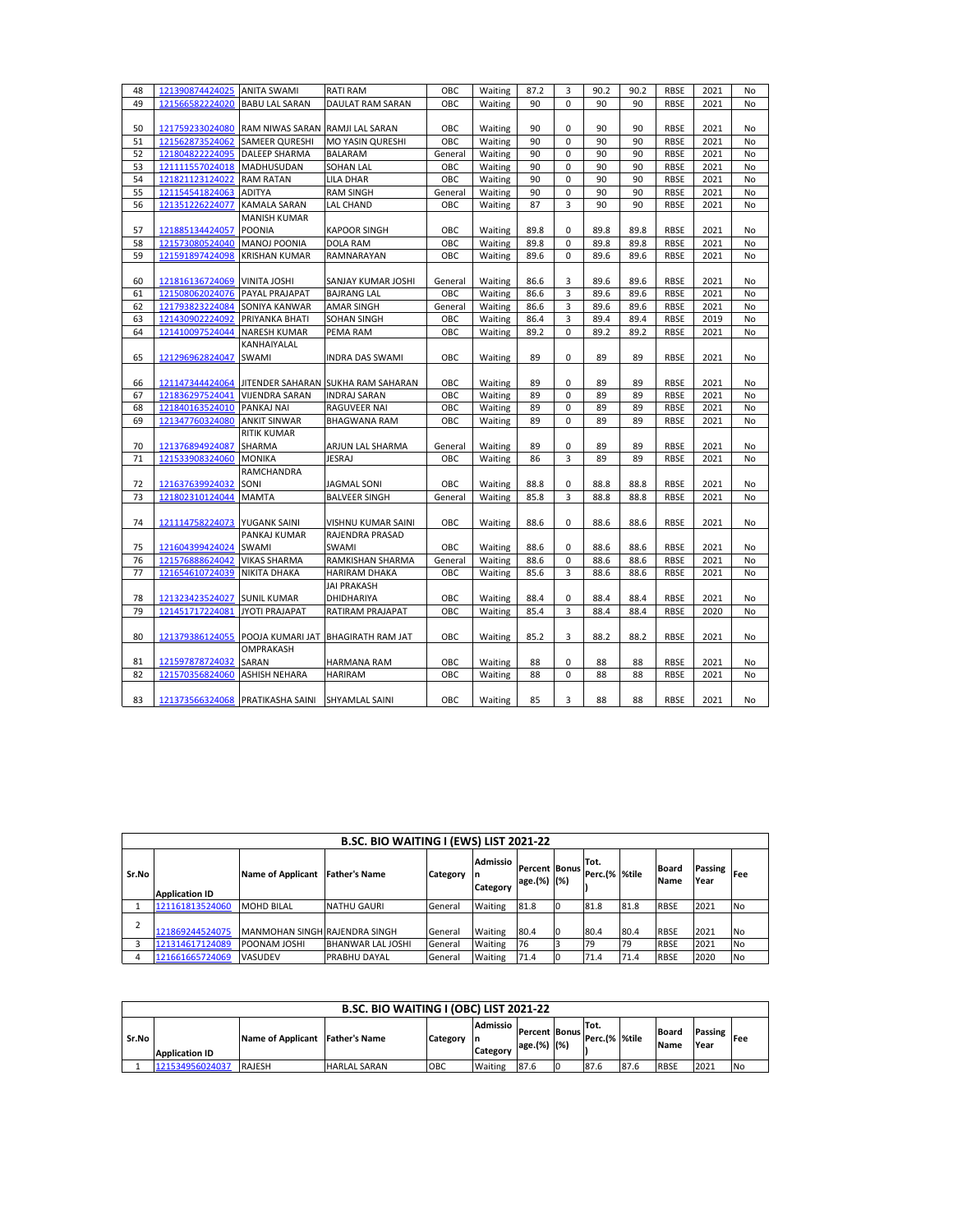| 48 | 121390874424025 | <b>ANITA SWAMI</b>               | <b>RATI RAM</b>                    | OBC     | Waiting | 87.2 | 3           | 90.2 | 90.2 | <b>RBSE</b> | 2021 | No        |
|----|-----------------|----------------------------------|------------------------------------|---------|---------|------|-------------|------|------|-------------|------|-----------|
| 49 | 121566582224020 | <b>BABU LAL SARAN</b>            | DAULAT RAM SARAN                   | OBC     | Waiting | 90   | 0           | 90   | 90   | <b>RBSE</b> | 2021 | No        |
|    |                 |                                  |                                    |         |         |      |             |      |      |             |      |           |
| 50 | 121759233024080 | RAM NIWAS SARAN RAMJI LAL SARAN  |                                    | OBC     | Waiting | 90   | 0           | 90   | 90   | <b>RBSE</b> | 2021 | No        |
| 51 | 121562873524062 | <b>SAMEER QURESHI</b>            | MO YASIN QURESHI                   | OBC     | Waiting | 90   | 0           | 90   | 90   | <b>RBSE</b> | 2021 | No        |
| 52 | 121804822224095 | DALEEP SHARMA                    | BALARAM                            | General | Waiting | 90   | 0           | 90   | 90   | <b>RBSE</b> | 2021 | No        |
| 53 | 121111557024018 | MADHUSUDAN                       | SOHAN LAL                          | OBC     | Waiting | 90   | 0           | 90   | 90   | <b>RBSE</b> | 2021 | No        |
| 54 | 121821123124022 | <b>RAM RATAN</b>                 | LILA DHAR                          | OBC     | Waiting | 90   | $\mathbf 0$ | 90   | 90   | <b>RBSE</b> | 2021 | <b>No</b> |
| 55 | 121154541824063 | <b>ADITYA</b>                    | <b>RAM SINGH</b>                   | General | Waiting | 90   | 0           | 90   | 90   | <b>RBSE</b> | 2021 | No        |
| 56 | 121351226224077 | <b>KAMALA SARAN</b>              | LAL CHAND                          | OBC     | Waiting | 87   | 3           | 90   | 90   | <b>RBSE</b> | 2021 | No        |
|    |                 | <b>MANISH KUMAR</b>              |                                    |         |         |      |             |      |      |             |      |           |
| 57 | 121885134424057 | <b>POONIA</b>                    | <b>KAPOOR SINGH</b>                | OBC     | Waiting | 89.8 | 0           | 89.8 | 89.8 | <b>RBSE</b> | 2021 | No        |
| 58 | 121573080524040 | MANOJ POONIA                     | <b>DOLA RAM</b>                    | OBC     | Waiting | 89.8 | 0           | 89.8 | 89.8 | <b>RBSE</b> | 2021 | No        |
| 59 | 121591897424098 | <b>KRISHAN KUMAR</b>             | RAMNARAYAN                         | OBC     | Waiting | 89.6 | 0           | 89.6 | 89.6 | <b>RBSE</b> | 2021 | No        |
|    |                 |                                  |                                    |         |         |      |             |      |      |             |      |           |
| 60 | 121816136724069 | <b>VINITA JOSHI</b>              | SANJAY KUMAR JOSHI                 | General | Waiting | 86.6 | 3           | 89.6 | 89.6 | <b>RBSE</b> | 2021 | No        |
| 61 | 121508062024076 | PAYAL PRAJAPAT                   | <b>BAJRANG LAL</b>                 | OBC     | Waiting | 86.6 | 3           | 89.6 | 89.6 | <b>RBSE</b> | 2021 | No        |
| 62 | 121793823224084 | SONIYA KANWAR                    | AMAR SINGH                         | General | Waiting | 86.6 | 3           | 89.6 | 89.6 | <b>RBSE</b> | 2021 | No        |
| 63 | 121430902224092 | PRIYANKA BHATI                   | SOHAN SINGH                        | OBC     | Waiting | 86.4 | 3           | 89.4 | 89.4 | <b>RBSE</b> | 2019 | No        |
| 64 | 121410097524044 | <b>NARESH KUMAR</b>              | PEMA RAM                           | OBC     | Waiting | 89.2 | 0           | 89.2 | 89.2 | <b>RBSE</b> | 2021 | No        |
|    |                 | KANHAIYALAL                      |                                    |         |         |      |             |      |      |             |      |           |
| 65 | 121296962824047 | SWAMI                            | INDRA DAS SWAMI                    | OBC     | Waiting | 89   | 0           | 89   | 89   | <b>RBSE</b> | 2021 | No        |
|    |                 |                                  |                                    |         |         |      |             |      |      |             |      |           |
| 66 | 121147344424064 |                                  | JITENDER SAHARAN SUKHA RAM SAHARAN | OBC     | Waiting | 89   | 0           | 89   | 89   | <b>RBSE</b> | 2021 | No        |
| 67 | 121836297524041 | <b>VIJENDRA SARAN</b>            | <b>INDRAJ SARAN</b>                | OBC     | Waiting | 89   | 0           | 89   | 89   | <b>RBSE</b> | 2021 | <b>No</b> |
| 68 | 121840163524010 | PANKAJ NAI                       | RAGUVEER NAI                       | OBC     | Waiting | 89   | 0           | 89   | 89   | <b>RBSE</b> | 2021 | No        |
| 69 | 121347760324080 | <b>ANKIT SINWAR</b>              | BHAGWANA RAM                       | OBC     | Waiting | 89   | 0           | 89   | 89   | <b>RBSE</b> | 2021 | No        |
|    |                 | <b>RITIK KUMAR</b>               |                                    |         |         |      |             |      |      |             |      |           |
| 70 | 121376894924087 | SHARMA                           | ARJUN LAL SHARMA                   | General | Waiting | 89   | 0           | 89   | 89   | <b>RBSE</b> | 2021 | No        |
| 71 | 121533908324060 | <b>MONIKA</b>                    | JESRAJ                             | OBC     | Waiting | 86   | 3           | 89   | 89   | RBSE        | 2021 | No        |
|    |                 | RAMCHANDRA                       |                                    |         |         |      |             |      |      |             |      |           |
| 72 | 121637639924032 | SONI                             | JAGMAL SONI                        | OBC     | Waiting | 88.8 | 0           | 88.8 | 88.8 | <b>RBSE</b> | 2021 | No        |
| 73 | 121802310124044 | <b>MAMTA</b>                     | <b>BALVEER SINGH</b>               | General | Waiting | 85.8 | 3           | 88.8 | 88.8 | <b>RBSE</b> | 2021 | No        |
|    |                 |                                  |                                    |         |         |      |             |      |      |             |      |           |
| 74 | 121114758224073 | YUGANK SAINI                     | VISHNU KUMAR SAINI                 | OBC     | Waiting | 88.6 | 0           | 88.6 | 88.6 | <b>RBSE</b> | 2021 | No        |
|    |                 | PANKAJ KUMAR                     | RAJENDRA PRASAD                    |         |         |      |             |      |      |             |      |           |
| 75 | 121604399424024 | <b>SWAMI</b>                     | <b>SWAMI</b>                       | OBC     | Waiting | 88.6 | 0           | 88.6 | 88.6 | <b>RBSE</b> | 2021 | No        |
| 76 | 121576888624042 | <b>VIKAS SHARMA</b>              | RAMKISHAN SHARMA                   | General | Waiting | 88.6 | 0           | 88.6 | 88.6 | <b>RBSE</b> | 2021 | No        |
| 77 | 121654610724039 | NIKITA DHAKA                     | HARIRAM DHAKA                      | OBC     | Waiting | 85.6 | 3           | 88.6 | 88.6 | <b>RBSE</b> | 2021 | No        |
|    |                 |                                  | <b>JAI PRAKASH</b>                 |         |         |      |             |      |      |             |      |           |
| 78 | 121323423524027 | <b>SUNIL KUMAR</b>               | DHIDHARIYA                         | OBC     | Waiting | 88.4 | 0           | 88.4 | 88.4 | <b>RBSE</b> | 2021 | No        |
| 79 | 121451717224081 | <b>JYOTI PRAJAPAT</b>            | RATIRAM PRAJAPAT                   | OBC     | Waiting | 85.4 | 3           | 88.4 | 88.4 | <b>RBSE</b> | 2020 | <b>No</b> |
|    |                 |                                  |                                    |         |         |      |             |      |      |             |      |           |
| 80 | 121379386124055 | POOJA KUMARI JAT                 | <b>BHAGIRATH RAM JAT</b>           | OBC     | Waiting | 85.2 | 3           | 88.2 | 88.2 | <b>RBSE</b> | 2021 | No        |
|    |                 | OMPRAKASH                        |                                    |         |         |      |             |      |      |             |      |           |
| 81 | 121597878724032 | SARAN                            | HARMANA RAM                        | ОВС     | Waiting | 88   | 0           | 88   | 88   | <b>RBSE</b> | 2021 | No        |
| 82 | 121570356824060 | <b>ASHISH NEHARA</b>             | <b>HARIRAM</b>                     | OBC     | Waiting | 88   | 0           | 88   | 88   | <b>RBSE</b> | 2021 | No        |
|    |                 |                                  |                                    |         |         |      |             |      |      |             |      |           |
| 83 |                 | 121373566324068 PRATIKASHA SAINI | SHYAMLAL SAINI                     | OBC     | Waiting | 85   | 3           | 88   | 88   | <b>RBSE</b> | 2021 | No        |

|       | <b>B.SC. BIO WAITING I (EWS) LIST 2021-22</b> |                               |                      |          |                      |                                     |    |                        |      |                             |                 |            |  |
|-------|-----------------------------------------------|-------------------------------|----------------------|----------|----------------------|-------------------------------------|----|------------------------|------|-----------------------------|-----------------|------------|--|
| Sr.No | <b>Application ID</b>                         | <b>Name of Applicant</b>      | <b>Father's Name</b> | Category | Admissio<br>Category | <b>Percent Bonus</b><br>age.(%) (%) |    | Tot.<br>Perc.(%  %tile |      | <b>Board</b><br><b>Name</b> | Passing<br>Year | <b>Fee</b> |  |
|       | 121161813524060                               | <b>MOHD BILAL</b>             | <b>NATHU GAURI</b>   | General  | Waiting              | 81.8                                | 10 | 81.8                   | 81.8 | <b>RBSE</b>                 | 2021            | No.        |  |
|       | 121869244524075                               | MANMOHAN SINGH RAJENDRA SINGH |                      | General  | Waiting              | 80.4                                | ١o | 80.4                   | 80.4 | <b>RBSE</b>                 | 2021            | <b>No</b>  |  |
|       | 121314617124089                               | <b>POONAM JOSHI</b>           | BHANWAR LAL JOSHI    | General  | Waiting              | 76                                  |    | 79                     | 79   | <b>RBSE</b>                 | 2021            | No         |  |
|       | 121661665724069                               | VASUDEV                       | PRABHU DAYAL         | General  | Waiting              | 71.4                                | 0  | 71.4                   | 71.4 | <b>RBSE</b>                 | 2020            | <b>No</b>  |  |

|       | B.SC. BIO WAITING I (OBC) LIST 2021-22 |                                 |                     |          |                                   |                                     |    |                        |      |                             |                        |           |
|-------|----------------------------------------|---------------------------------|---------------------|----------|-----------------------------------|-------------------------------------|----|------------------------|------|-----------------------------|------------------------|-----------|
| Sr.No | <b>Application ID</b>                  | Name of Applicant Father's Name |                     | Category | <b>Admissio</b><br>ın<br>Category | <b>Percent Bonus</b><br>age.(%) (%) |    | Tot.<br>Perc.(%  %tile |      | <b>Board</b><br><b>Name</b> | <b>Passing</b><br>Year | Fee       |
|       | 121534956024037                        | <b>RAJESH</b>                   | <b>HARLAL SARAN</b> | OBC      | Waiting                           | 87.6                                | 10 | 87.6                   | 87.6 | <b>RBSE</b>                 | 2021                   | <b>No</b> |